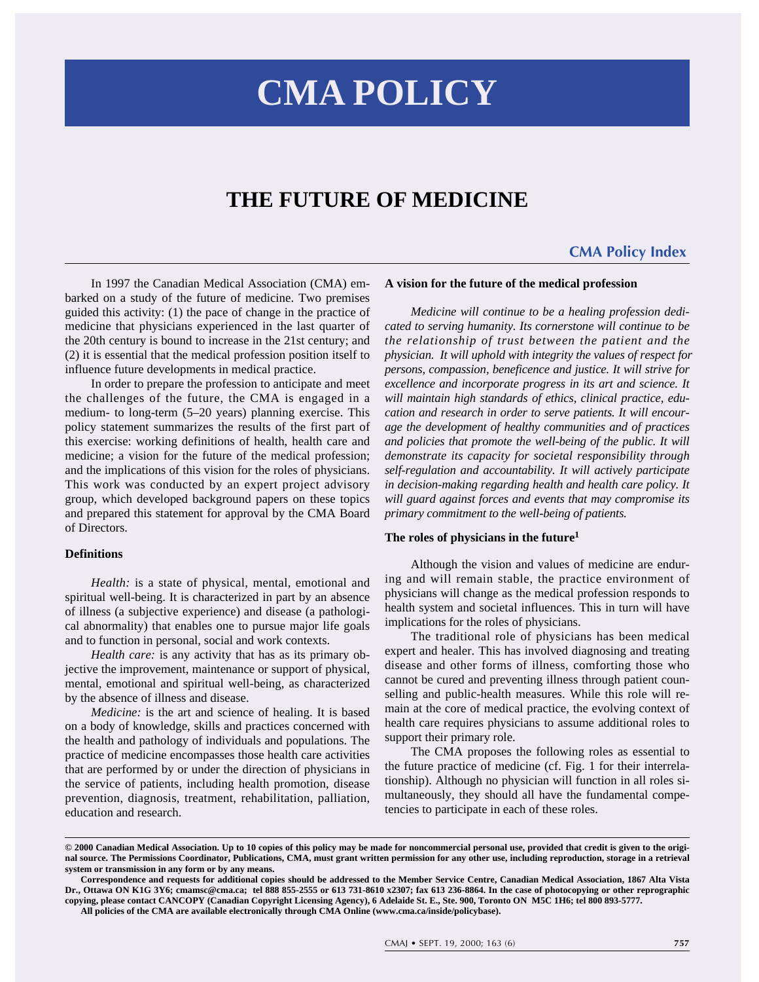# **CMA POLICY**

## **THE FUTURE OF MEDICINE**

### **[CMA Policy Index](http://www.cma.ca/inside/policybase/index.htm)**

In 1997 the Canadian Medical Association (CMA) embarked on a study of the future of medicine. Two premises guided this activity: (1) the pace of change in the practice of medicine that physicians experienced in the last quarter of the 20th century is bound to increase in the 21st century; and (2) it is essential that the medical profession position itself to influence future developments in medical practice.

In order to prepare the profession to anticipate and meet the challenges of the future, the CMA is engaged in a medium- to long-term (5–20 years) planning exercise. This policy statement summarizes the results of the first part of this exercise: working definitions of health, health care and medicine; a vision for the future of the medical profession; and the implications of this vision for the roles of physicians. This work was conducted by an expert project advisory group, which developed background papers on these topics and prepared this statement for approval by the CMA Board of Directors.

#### **Definitions**

*Health:* is a state of physical, mental, emotional and spiritual well-being. It is characterized in part by an absence of illness (a subjective experience) and disease (a pathological abnormality) that enables one to pursue major life goals and to function in personal, social and work contexts.

*Health care:* is any activity that has as its primary objective the improvement, maintenance or support of physical, mental, emotional and spiritual well-being, as characterized by the absence of illness and disease.

*Medicine:* is the art and science of healing. It is based on a body of knowledge, skills and practices concerned with the health and pathology of individuals and populations. The practice of medicine encompasses those health care activities that are performed by or under the direction of physicians in the service of patients, including health promotion, disease prevention, diagnosis, treatment, rehabilitation, palliation, education and research.

#### **A vision for the future of the medical profession**

*Medicine will continue to be a healing profession dedicated to serving humanity. Its cornerstone will continue to be the relationship of trust between the patient and the physician. It will uphold with integrity the values of respect for persons, compassion, beneficence and justice. It will strive for excellence and incorporate progress in its art and science. It will maintain high standards of ethics, clinical practice, education and research in order to serve patients. It will encourage the development of healthy communities and of practices and policies that promote the well-being of the public. It will demonstrate its capacity for societal responsibility through self-regulation and accountability. It will actively participate in decision-making regarding health and health care policy. It will guard against forces and events that may compromise its primary commitment to the well-being of patients.*

#### **The roles of physicians in the future<sup>1</sup>**

Although the vision and values of medicine are enduring and will remain stable, the practice environment of physicians will change as the medical profession responds to health system and societal influences. This in turn will have implications for the roles of physicians.

The traditional role of physicians has been medical expert and healer. This has involved diagnosing and treating disease and other forms of illness, comforting those who cannot be cured and preventing illness through patient counselling and public-health measures. While this role will remain at the core of medical practice, the evolving context of health care requires physicians to assume additional roles to support their primary role.

The CMA proposes the following roles as essential to the future practice of medicine (cf. Fig. 1 for their interrelationship). Although no physician will function in all roles simultaneously, they should all have the fundamental competencies to participate in each of these roles.

**<sup>© 2000</sup> Canadian Medical Association. Up to 10 copies of this policy may be made for noncommercial personal use, provided that credit is given to the original source. The Permissions Coordinator, Publications, CMA, must grant written permission for any other use, including reproduction, storage in a retrieval system or transmission in any form or by any means.**

**Correspondence and requests for additional copies should be addressed to the Member Service Centre, Canadian Medical Association, 1867 Alta Vista Dr., Ottawa ON K1G 3Y6; cmamsc@cma.ca; tel 888 855-2555 or 613 731-8610 x2307; fax 613 236-8864. In the case of photocopying or other reprographic copying, please contact CANCOPY (Canadian Copyright Licensing Agency), 6 Adelaide St. E., Ste. 900, Toronto ON M5C 1H6; tel 800 893-5777.**

**All policies of the CMA are available electronically through CMA Online (www.cma.ca/inside/policybase).**